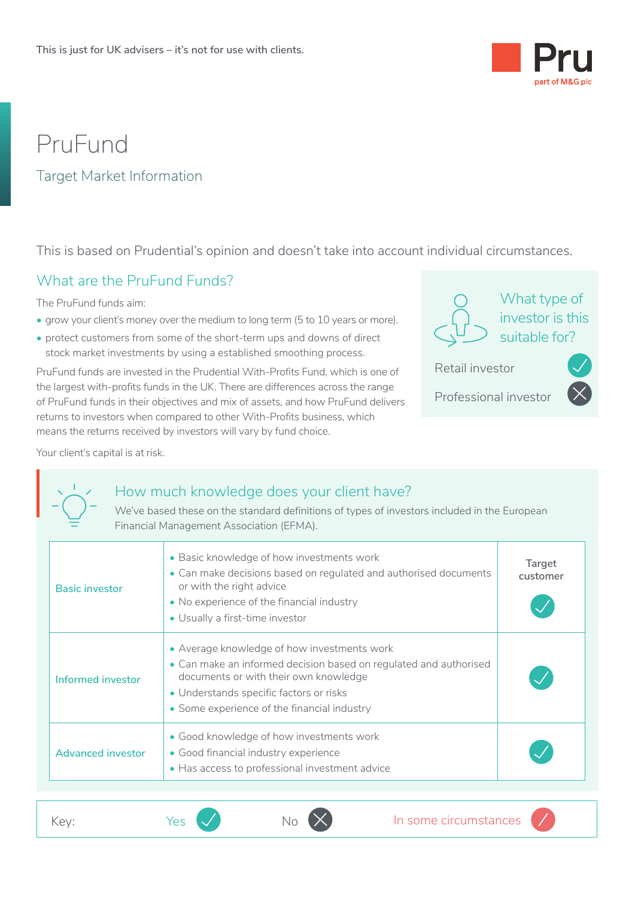

# PruFund

#### Target Market Information

This is based on Prudential's opinion and doesn't take into account individual circumstances.

#### What are the PruFund Funds?

The PruFund funds aim:

- grow your client's money over the medium to long term (5 to 10 years or more).
- protect customers from some of the short-term ups and downs of direct stock market investments by using a established smoothing process.

PruFund funds are invested in the Prudential With-Profits Fund, which is one of the largest with-profits funds in the UK. There are differences across the range of PruFund funds in their objectives and mix of assets, and how PruFund delivers returns to investors when compared to other With-Profits business, which means the returns received by investors will vary by fund choice.



What type of investor is this suitable for?  $\bullet$ 

<u>• Indian Propinsi Para</u>

Retail investor

Professional investor

# Your client's capital is at risk.<br>  $\begin{bmatrix}\n\cdot & \cdot \\
\cdot & \cdot \\
\cdot & \cdot \\
\hline\n\cdot & \cdot\n\end{bmatrix}$   $\begin{bmatrix}\n\cdot & \mathbf{H} & \mathbf{O} & \mathbf{O} \\
\cdot & \mathbf{O} & \mathbf{O} & \mathbf{O} \\
\cdot & \cdot & \mathbf{O} & \mathbf{O} \\
\hline\n\cdot & \cdot & \mathbf{O} & \mathbf{O} \\
\hline\n\cdot & \cdot & \mathbf{O} & \mathbf{O} \\
\hline\n\cdot & \cdot & \mathbf{O} & \$ How much knowledge does your client have?

We've based these on the standard definitions of types of investors included in the European Financial Management Association (EFMA).

| <b>Basic investor</b>    | • Basic knowledge of how investments work<br>• Can make decisions based on regulated and authorised documents<br>or with the right advice<br>• No experience of the financial industry<br>• Usually a first-time investor                           | Target<br>customer |
|--------------------------|-----------------------------------------------------------------------------------------------------------------------------------------------------------------------------------------------------------------------------------------------------|--------------------|
| Informed investor        | • Average knowledge of how investments work<br>• Can make an informed decision based on regulated and authorised<br>documents or with their own knowledge<br>• Understands specific factors or risks<br>• Some experience of the financial industry |                    |
| <b>Advanced investor</b> | • Good knowledge of how investments work<br>• Good financial industry experience<br>• Has access to professional investment advice                                                                                                                  |                    |

 $\bigvee$  No  $\bigotimes$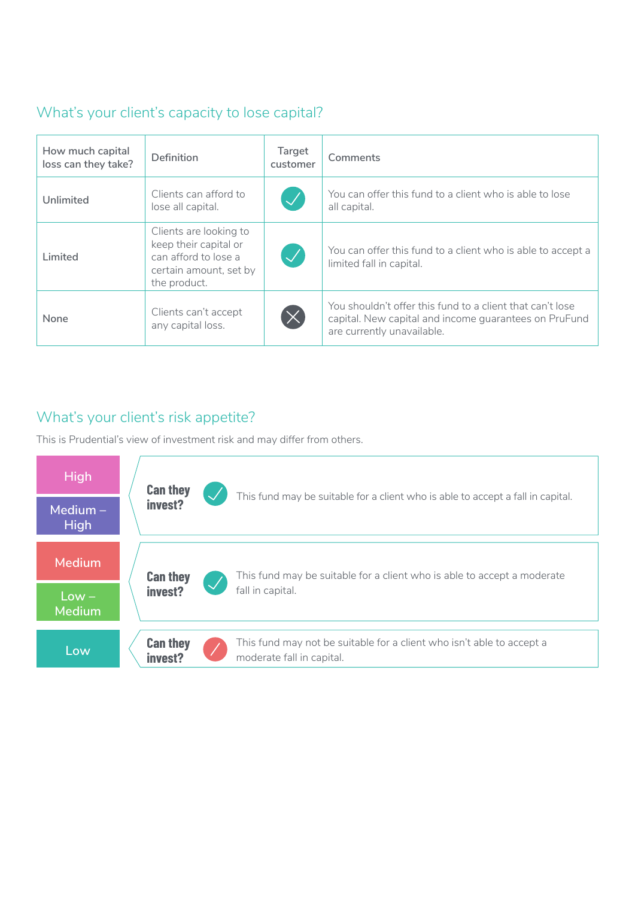#### What's your client's capacity to lose capital?

| You can offer this fund to a client who is able to lose<br>Clients can afford to<br>$\sqrt{}$<br>Unlimited<br>lose all capital.<br>all capital.                                                                                                       |  |
|-------------------------------------------------------------------------------------------------------------------------------------------------------------------------------------------------------------------------------------------------------|--|
|                                                                                                                                                                                                                                                       |  |
| Clients are looking to<br>keep their capital or<br>You can offer this fund to a client who is able to accept a<br>$\boldsymbol{\mathcal{J}}$<br>can afford to lose a<br>Limited<br>limited fall in capital.<br>certain amount, set by<br>the product. |  |
| You shouldn't offer this fund to a client that can't lose<br>Clients can't accept<br>$(\times$<br>None<br>capital. New capital and income quarantees on PruFund<br>any capital loss.<br>are currently unavailable.                                    |  |

#### What's your client's risk appetite?

This is Prudential's view of investment risk and may differ from others.

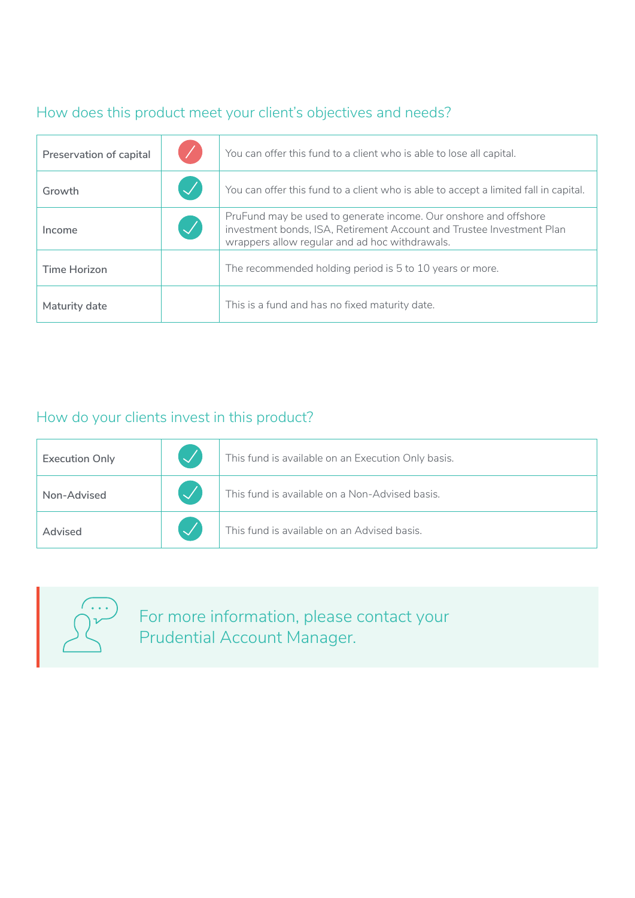## How does this product meet your client's objectives and needs?

| Preservation of capital |                         | You can offer this fund to a client who is able to lose all capital.                                                                                                                        |
|-------------------------|-------------------------|---------------------------------------------------------------------------------------------------------------------------------------------------------------------------------------------|
| Growth                  |                         | You can offer this fund to a client who is able to accept a limited fall in capital.                                                                                                        |
| Income                  | $\mathcal{\mathcal{A}}$ | PruFund may be used to generate income. Our onshore and offshore<br>investment bonds, ISA, Retirement Account and Trustee Investment Plan<br>wrappers allow regular and ad hoc withdrawals. |
| Time Horizon            |                         | The recommended holding period is 5 to 10 years or more.                                                                                                                                    |
| Maturity date           |                         | This is a fund and has no fixed maturity date.                                                                                                                                              |

### How do your clients invest in this product?

| <b>Execution Only</b> | This fund is available on an Execution Only basis. |
|-----------------------|----------------------------------------------------|
| Non-Advised           | This fund is available on a Non-Advised basis.     |
| Advised               | This fund is available on an Advised basis.        |
|                       |                                                    |



For more information, please contact your Prudential Account Manager.